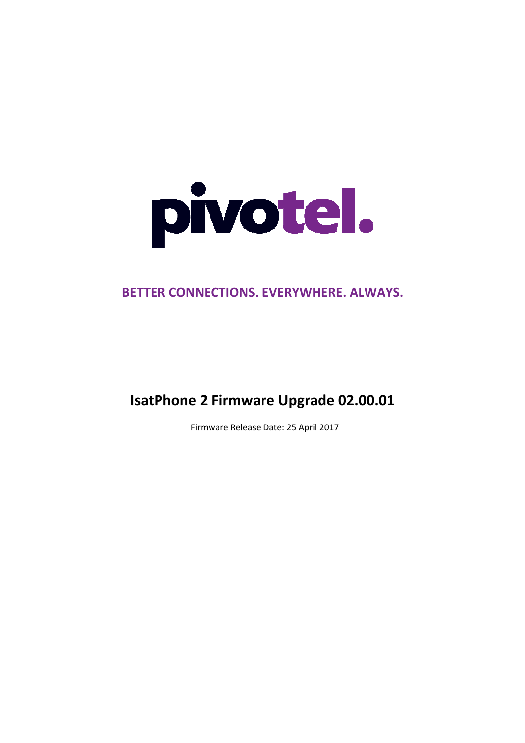

# BETTER CONNECTIONS. EVERYWHERE. ALWAYS.

# IsatPhone IsatPhone 2 Firmware Upgrade 02.00.01

Firmware Release Date: 25 April 2017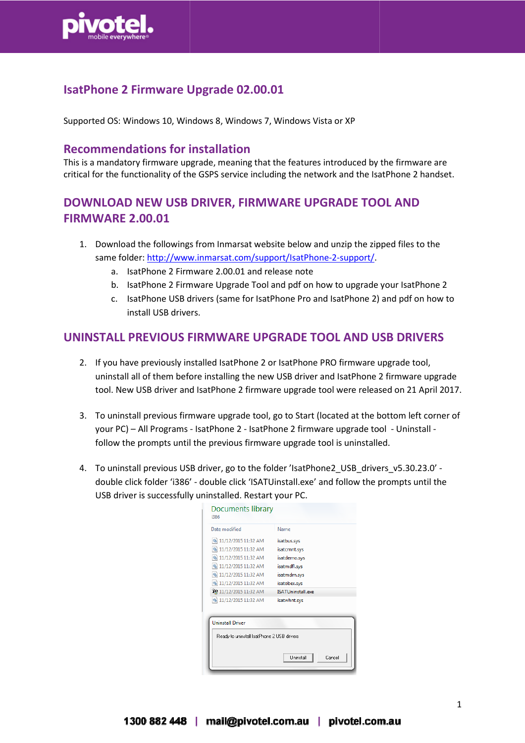

### IsatPhone 2 Firmware Upgrade 02.00.01

Supported OS: Windows 10, Windows 8, Windows 7, Windows Vista or XP

#### Recommendations for installation

This is a mandatory firmware upgrade, meaning that the features introduced by the firmware are critical for the functionality of the GSPS service including the network and the IsatPhone 2 handset.

### DOWNLOAD NEW USB DRIVER, FIRMWARE UPGRADE TOOL AND FIRMWARE 2.00.01

- 1. Download the followings from Inmarsat website below and unzip the zipped files to the same folder: http://www.inmarsat.com/support/IsatPhone-2-support/.
	- a. IsatPhone 2 Firmware 2.00.01 and release note
	- b. IsatPhone 2 Firmware Upgrade Tool and pdf on how to upgrade your IsatPhone 2
	- c. IsatPhone USB drivers (same for IsatPhone Pro and IsatPhone 2) and pdf on how to install USB drivers.

#### UNINSTALL PREVIOUS FIRMWARE UPGRADE TOOL AND USB DRIVERS

- 2. If you have previously installed IsatPhone 2 or IsatPhone PRO firmware upgrade tool, uninstall all of them before installing the new USB driver and IsatPhone 2 firmware upgrade tool. New USB driver and IsatPhone 2 firmware upgrade tool were released on 21 April 2017.
- 3. To uninstall previous firmware upgrade tool, go to Start (located at the bottom left corner of your PC) – All Programs - IsatPhone 2 - IsatPhone 2 firmware upgrade tool - Uninstall follow the prompts until the previous firmware upgrade tool is uninstalled.
- 4. To uninstall previous USB driver, go to the folder 'IsatPhone2\_USB\_drivers\_v5.30.23.0' double click folder 'i386' - double click 'ISATUinstall.exe' and follow the prompts until the USB driver is successfully uninstalled. Restart your PC.

| Documents library<br>i386                  |                             |
|--------------------------------------------|-----------------------------|
| Date modified                              | Name                        |
| S 11/12/2015 11:32 AM                      | isatbus.sys                 |
| S 11/12/2015 11:32 AM                      | isatcmnt.sys                |
| S 11/12/2015 11:32 AM                      | isatdemo.sys                |
| S 11/12/2015 11:32 AM                      | isatmdfl.sys                |
| S 11/12/2015 11:32 AM                      | isatmdm.sys                 |
| S 11/12/2015 11:32 AM                      | isatobex.sys                |
| 11/12/2015 11:32 AM                        | <b>ISATUninstall.exe</b>    |
| S 11/12/2015 11:32 AM                      | isatwhnt.sys                |
|                                            |                             |
| <b>Uninstall Driver</b>                    |                             |
| Ready to uninstall IsatPhone 2 USB drivers |                             |
|                                            | <b>Lininstall</b><br>Cancel |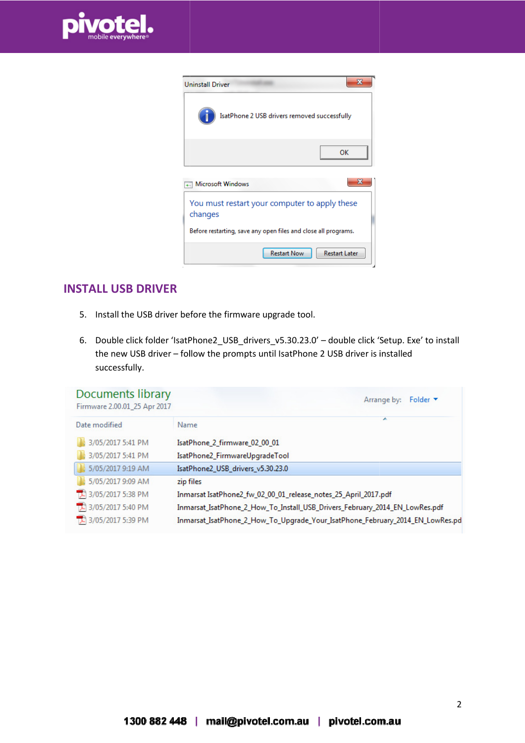

| <b>Uninstall Driver</b>                                        |  |
|----------------------------------------------------------------|--|
| IsatPhone 2 USB drivers removed successfully                   |  |
| OK                                                             |  |
| x<br>Microsoft Windows                                         |  |
| You must restart your computer to apply these<br>changes       |  |
| Before restarting, save any open files and close all programs. |  |
| <b>Restart Now</b><br><b>Restart Later</b>                     |  |

#### INSTALL USB DRIVER

- 5. Install the USB driver before the firmware upgrade tool.
- 6. Double click folder 'IsatPhone2\_USB\_drivers\_v5.30.23.0' double click 'Setup. Exe' to install the new USB driver – follow the prompts until IsatPhone 2 USB driver is installed successfully.

| Documents library<br>Firmware 2.00.01_25 Apr 2017 | Folder $\blacktriangledown$<br>Arrange by:                                    |
|---------------------------------------------------|-------------------------------------------------------------------------------|
| Date modified                                     | Name                                                                          |
| 3/05/2017 5:41 PM                                 | IsatPhone 2 firmware 02 00 01                                                 |
| 3/05/2017 5:41 PM                                 | IsatPhone2_FirmwareUpgradeTool                                                |
| 5/05/2017 9:19 AM                                 | IsatPhone2_USB_drivers_v5.30.23.0                                             |
| 5/05/2017 9:09 AM                                 | zip files                                                                     |
| 3/05/2017 5:38 PM                                 | Inmarsat IsatPhone2_fw_02_00_01_release_notes_25_April_2017.pdf               |
| 3/05/2017 5:40 PM                                 | Inmarsat_IsatPhone_2_How_To_Install_USB_Drivers_February_2014_EN_LowRes.pdf   |
| 3/05/2017 5:39 PM                                 | Inmarsat_IsatPhone_2_How_To_Upgrade_Your_IsatPhone_February_2014_EN_LowRes.pd |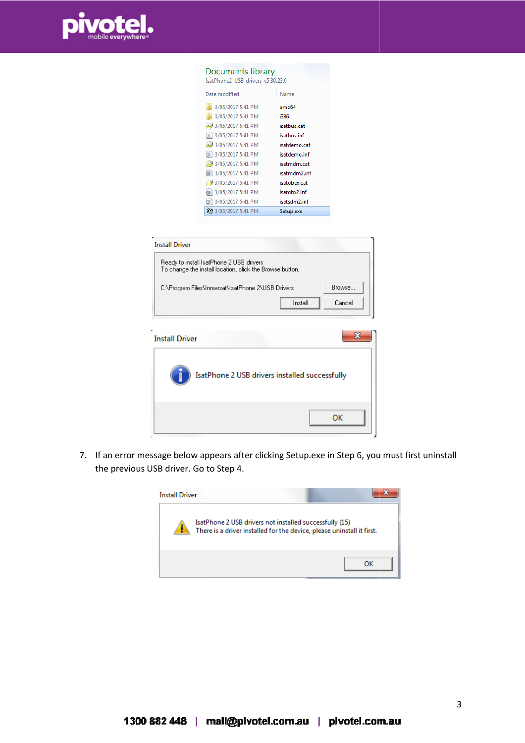

| Documents library<br>IsatPhone2 USB drivers v5.30.23.0 |              |  |
|--------------------------------------------------------|--------------|--|
| Date modified                                          | Name         |  |
| 3/05/2017 5:41 PM                                      | amd64        |  |
| 3/05/2017 5:41 PM                                      | i386         |  |
| 3/05/2017 5:41 PM                                      | isatbus.cat  |  |
| 3/05/2017 5:41 PM                                      | isatbus.inf  |  |
| 3/05/2017 5:41 PM                                      | isatdemo.cat |  |
| 3/05/2017 5:41 PM                                      | isatdemo.inf |  |
| 3/05/2017 5:41 PM                                      | isatmdm.cat  |  |
| ※ 3/05/2017 5:41 PM                                    | isatmdm2.inf |  |
| 3/05/2017 5:41 PM                                      | isatobex.cat |  |
| ● 3/05/2017 5:41 PM                                    | isatobx2.inf |  |
| ● 3/05/2017 5:41 PM                                    | isatsdm2.inf |  |
| 22 3/05/2017 5:41 PM                                   | Setup.exe    |  |

| <b>Install Driver</b><br>Ready to install IsatPhone 2 USB drivers<br>To change the install location, click the Browse button. |                  |
|-------------------------------------------------------------------------------------------------------------------------------|------------------|
| C:\Program Files\Inmarsat\IsatPhone 2\USB Drivers<br>Install                                                                  | Browse<br>Cancel |
| <b>Install Driver</b>                                                                                                         |                  |
| IsatPhone 2 USB drivers installed successfully                                                                                |                  |

7. If an error message below appears after clicking Setup.exe in Step 6, you must first uninstall the previous USB driver. Go to Step 4.

ОK



3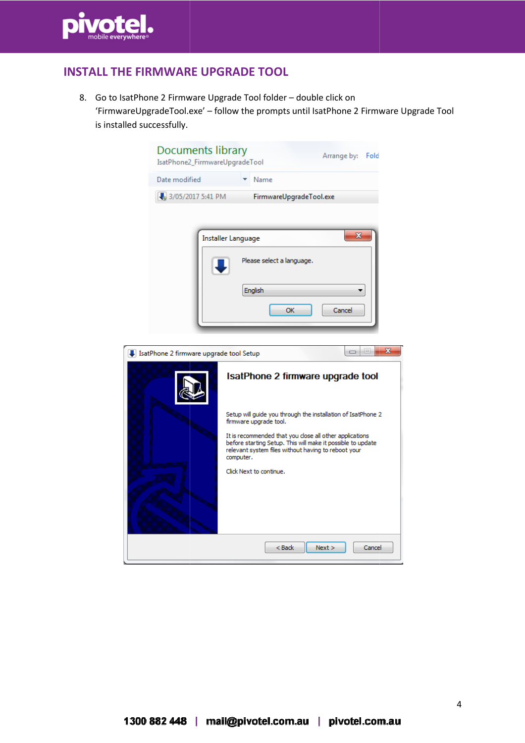

## INSTALL THE FIRMWARE UPGRADE TOOL

8. Go to IsatPhone 2 Firmware Upgrade Tool folder – double click on 'FirmwareUpgradeTool.exe FirmwareUpgradeTool.exe' – follow the prompts until IsatPhone 2 Firmware Upgrade Tool is installed successfully.

| <b>Documents library</b><br>IsatPhone2_FirmwareUpgradeTool | Arrange by: Fold                                                                                                                                                                           |
|------------------------------------------------------------|--------------------------------------------------------------------------------------------------------------------------------------------------------------------------------------------|
| Date modified                                              | Name                                                                                                                                                                                       |
| 3/05/2017 5:41 PM                                          | FirmwareUpgradeTool.exe                                                                                                                                                                    |
|                                                            | X<br>Installer Language<br>Please select a language.<br>English                                                                                                                            |
|                                                            | OK<br>Cancel                                                                                                                                                                               |
|                                                            |                                                                                                                                                                                            |
| IsatPhone 2 firmware upgrade tool Setup                    | x<br>┑                                                                                                                                                                                     |
|                                                            | IsatPhone 2 firmware upgrade tool                                                                                                                                                          |
|                                                            | Setup will guide you through the installation of IsatPhone 2<br>firmware upgrade tool.                                                                                                     |
|                                                            | It is recommended that you close all other applications<br>before starting Setup. This will make it possible to update<br>relevant system files without having to reboot your<br>computer. |
|                                                            | Click Next to continue.                                                                                                                                                                    |
|                                                            | $Back$<br>Next<br>Cancel                                                                                                                                                                   |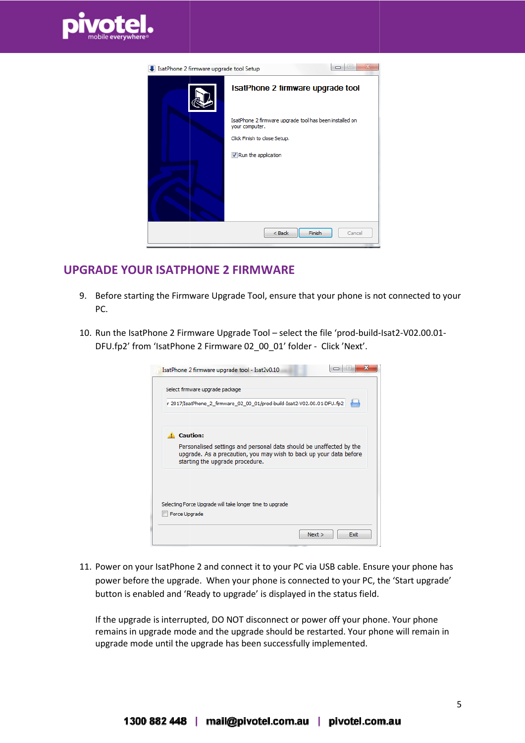

| IsatPhone 2 firmware upgrade tool Setup |                                                                           |
|-----------------------------------------|---------------------------------------------------------------------------|
|                                         | IsatPhone 2 firmware upgrade tool                                         |
|                                         | IsatPhone 2 firmware upgrade tool has been installed on<br>your computer. |
|                                         | Click Finish to close Setup.                                              |
|                                         | V Run the application                                                     |
|                                         | Finish<br>$<$ Back<br>Cancel                                              |

#### UPGRADE YOUR ISATPHONE 2 FIRMWARE

- 9. Before starting the Firmware Upgrade Tool, ensure that your phone is not connected to your PC.
- 10. Run the IsatPhone 2 Firmware Upgrade Tool select the file 'prod-build-Isat2-V02.00.01-DFU.fp2' from 'IsatPhone 2 Firmware 02\_00\_01' folder - Click 'Next'.

| Select firmware upgrade package                                                                                                                                              |
|------------------------------------------------------------------------------------------------------------------------------------------------------------------------------|
| r 2017/IsatPhone_2_firmware_02_00_01/prod-build-Isat2-V02.00.01-DFU.fp2                                                                                                      |
| A Caution:                                                                                                                                                                   |
| Personalised settings and personal data should be unaffected by the<br>upgrade. As a precaution, you may wish to back up your data before<br>starting the upgrade procedure. |
|                                                                                                                                                                              |
|                                                                                                                                                                              |
| Selecting Force Upgrade will take longer time to upgrade                                                                                                                     |

11. Power on your IsatPhone 2 and connect it to your PC via USB cable. Ensure your phone has power before the upgrade. When your phone is connected to your PC, the 'Start upgrade' button is enabled and 'Ready to upgrade' is displayed in the status field.

If the upgrade is interrupted, DO NOT disconnect or power off your phone. Your phone remains in upgrade mode and the upgrade should be restarted. Your phone will remain in upgrade mode until the upgrade has been successfully implemented.